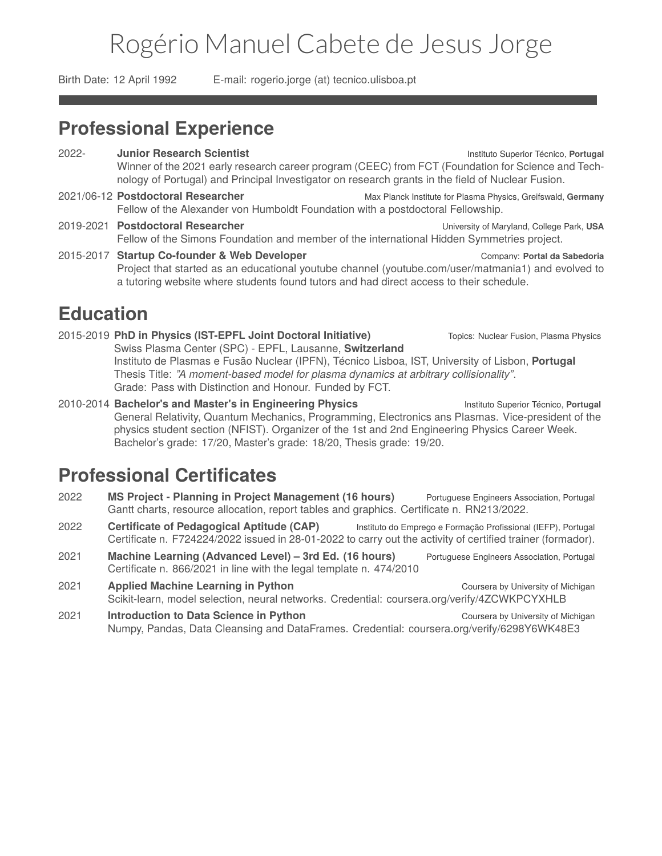# Rogério Manuel Cabete de Jesus Jorge

<span id="page-0-0"></span>Birth Date: 12 April 1992 E-mail: rogerio.jorge (at) tecnico.ulisboa.pt

## **Professional Experience**

- 2022- **Junior Research Scientist** Instituto Superior Técnico, **Portugal** Winner of the 2021 early research career program (CEEC) from FCT (Foundation for Science and Technology of Portugal) and Principal Investigator on research grants in the field of Nuclear Fusion.
- 2021/06-12 **Postdoctoral Researcher** Max Planck Institute for Plasma Physics, Greifswald, **Germany** Fellow of the Alexander von Humboldt Foundation with a postdoctoral Fellowship.
- 2019-2021 **Postdoctoral Researcher** University of Maryland, College Park, **USA** Fellow of the Simons Foundation and member of the international Hidden Symmetries project.
- 2015-2017 **Startup Co-founder & Web Developer** Company: **Portal da Sabedoria** Project that started as an educational youtube channel ([youtube.com/user/matmania1\)](http://youtube.com/user/matmania1) and evolved to a tutoring website where students found tutors and had direct access to their schedule.

### **Education**

.....

2015-2019 **PhD in Physics (IST-EPFL Joint Doctoral Initiative)** Topics: Nuclear Fusion, Plasma Physics Swiss Plasma Center (SPC) - EPFL, Lausanne, **Switzerland** Instituto de Plasmas e Fusão Nuclear (IPFN), Técnico Lisboa, IST, University of Lisbon, **Portugal** Thesis Title: *"A moment-based model for plasma dynamics at arbitrary collisionality"*. Grade: Pass with Distinction and Honour. Funded by FCT.

2010-2014 **Bachelor's and Master's in Engineering Physics** Instituto Superior Técnico, **Portugal** General Relativity, Quantum Mechanics, Programming, Electronics ans Plasmas. Vice-president of the physics student section (NFIST). Organizer of the 1st and 2nd Engineering Physics Career Week. Bachelor's grade: 17/20, Master's grade: 18/20, Thesis grade: 19/20.

## **Professional Certificates**

- 2022 **MS Project Planning in Project Management (16 hours)** Portuguese Engineers Association, Portugal Gantt charts, resource allocation, report tables and graphics. Certificate n. RN213/2022.
- 2022 **Certificate of Pedagogical Aptitude (CAP)** Instituto do Emprego e Formação Profissional (IEFP), Portugal Certificate n. F724224/2022 issued in 28-01-2022 to carry out the activity of certified trainer (formador).
- 2021 **Machine Learning (Advanced Level) 3rd Ed. (16 hours)** Portuguese Engineers Association, Portugal Certificate n. 866/2021 in line with the legal template n. 474/2010
- 2021 **Applied Machine Learning in Python** Coursera by University of Michigan Scikit-learn, model selection, neural networks. Credential: [coursera.org/verify/4ZCWKPCYXHLB](https://www.coursera.org/verify/4ZCWKPCYXHLB)
- 2021 **Introduction to Data Science in Python** Coursera by University of Michigan Numpy, Pandas, Data Cleansing and DataFrames. Credential: [coursera.org/verify/6298Y6WK48E3](https://www.coursera.org/verify/6298Y6WK48E3)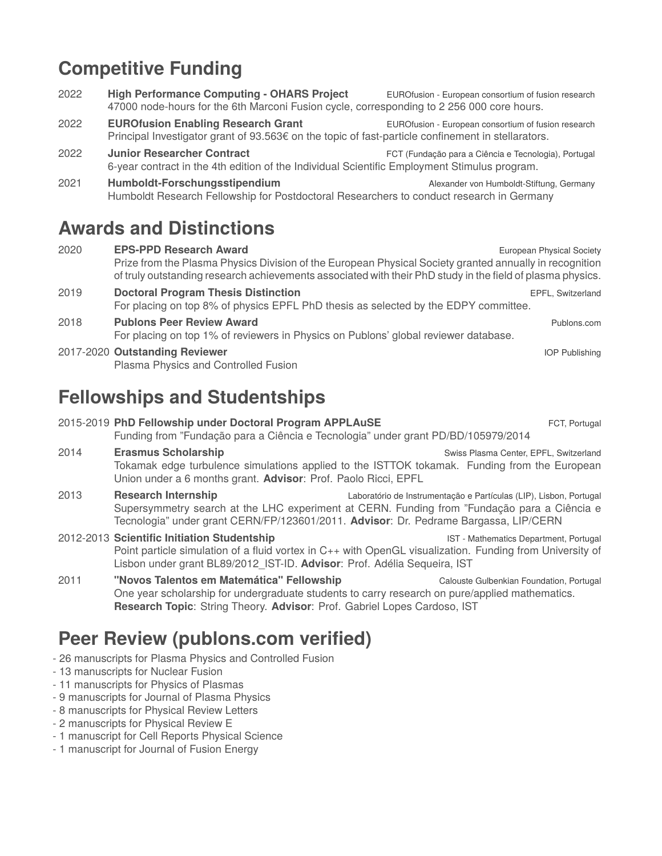# **Competitive Funding**

- 2022 **High Performance Computing OHARS Project** EUROfusion European consortium of fusion research 47000 node-hours for the 6th Marconi Fusion cycle, corresponding to 2 256 000 core hours.
- 2022 **EUROfusion Enabling Research Grant** EUROfusion European consortium of fusion research Principal Investigator grant of 93.563€ on the topic of fast-particle confinement in stellarators.
- 2022 **Junior Researcher Contract** FCT (Fundação para a Ciência e Tecnologia), Portugal 6-year contract in the 4th edition of the Individual Scientific Employment Stimulus program.
- 2021 **Humboldt-Forschungsstipendium** Alexander von Humboldt-Stiftung, Germany Humboldt Research Fellowship for Postdoctoral Researchers to conduct research in Germany

# **Awards and Distinctions**

2020 **EPS-PPD Research Award EURO EURO EUROPER SOCIETY** European Physical Society Prize from the Plasma Physics Division of the European Physical Society granted annually in recognition of truly outstanding research achievements associated with their PhD study in the field of plasma physics. 2019 **Doctoral Program Thesis Distinction** EPFL, Switzerland For placing on top 8% of physics EPFL PhD thesis as selected by the EDPY committee. 2018 **Publons Peer Review Award** Publons.com For placing on top 1% of reviewers in Physics on Publons' global reviewer database. 2017-2020 **Outstanding Reviewer** IOP Publishing

Plasma Physics and Controlled Fusion

# **Fellowships and Studentships**

#### 2015-2019 **PhD Fellowship under Doctoral Program APPLAuSE** FOR **FRAGE FOR STARE RESERVING**

Funding from "Fundação para a Ciência e Tecnologia" under grant PD/BD/105979/2014

- **2014 <b>Erasmus Scholarship Example 2014 Example 2014 Example 2014 Example 2014 Example 2014 Example 2014 Example 2014 Example 2014 Example 2014 Example 2014 Example 2014 Example 2014 Example 2014** Tokamak edge turbulence simulations applied to the ISTTOK tokamak. Funding from the European Union under a 6 months grant. **Advisor**: Prof. Paolo Ricci, EPFL
- 2013 **Research Internship** Laboratório de Instrumentação e Partículas (LIP), Lisbon, Portugal Supersymmetry search at the LHC experiment at CERN. Funding from "Fundação para a Ciência e Tecnologia" under grant CERN/FP/123601/2011. **Advisor**: Dr. Pedrame Bargassa, LIP/CERN
- 2012-2013 **Scientific Initiation Studentship** IST Mathematics Department, Portugal Point particle simulation of a fluid vortex in C++ with OpenGL visualization. Funding from University of Lisbon under grant BL89/2012\_IST-ID. **Advisor**: Prof. Adélia Sequeira, IST
- 2011 **"Novos Talentos em Matemática" Fellowship** Calouste Gulbenkian Foundation, Portugal One year scholarship for undergraduate students to carry research on pure/applied mathematics. **Research Topic**: String Theory. **Advisor**: Prof. Gabriel Lopes Cardoso, IST

# **Peer Review (publons.com verified)**

- 26 manuscripts for Plasma Physics and Controlled Fusion
- 13 manuscripts for Nuclear Fusion
- 11 manuscripts for Physics of Plasmas
- 9 manuscripts for Journal of Plasma Physics
- 8 manuscripts for Physical Review Letters
- 2 manuscripts for Physical Review E
- 1 manuscript for Cell Reports Physical Science
- 1 manuscript for Journal of Fusion Energy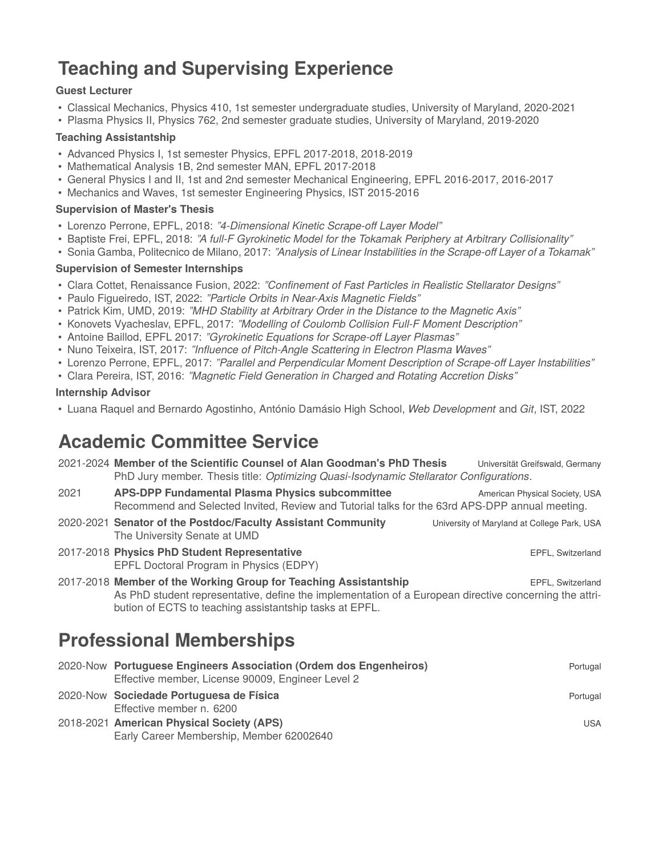# **Teaching and Supervising Experience**

#### **Guest Lecturer**

- Classical Mechanics, Physics 410, 1st semester undergraduate studies, University of Maryland, 2020-2021
- Plasma Physics II, Physics 762, 2nd semester graduate studies, University of Maryland, 2019-2020

#### **Teaching Assistantship**

- Advanced Physics I, 1st semester Physics, EPFL 2017-2018, 2018-2019
- Mathematical Analysis 1B, 2nd semester MAN, EPFL 2017-2018
- General Physics I and II, 1st and 2nd semester Mechanical Engineering, EPFL 2016-2017, 2016-2017
- Mechanics and Waves, 1st semester Engineering Physics, IST 2015-2016

#### **Supervision of Master's Thesis**

- Lorenzo Perrone, EPFL, 2018: *"4-Dimensional Kinetic Scrape-off Layer Model"*
- Baptiste Frei, EPFL, 2018: *"A full-F Gyrokinetic Model for the Tokamak Periphery at Arbitrary Collisionality"*
- Sonia Gamba, Politecnico de Milano, 2017: *"Analysis of Linear Instabilities in the Scrape-off Layer of a Tokamak"*

#### **Supervision of Semester Internships**

- Clara Cottet, Renaissance Fusion, 2022: *"Confinement of Fast Particles in Realistic Stellarator Designs"*
- Paulo Figueiredo, IST, 2022: *"Particle Orbits in Near-Axis Magnetic Fields"*
- Patrick Kim, UMD, 2019: *"MHD Stability at Arbitrary Order in the Distance to the Magnetic Axis"*
- Konovets Vyacheslav, EPFL, 2017: *"Modelling of Coulomb Collision Full-F Moment Description"*
- Antoine Baillod, EPFL 2017: *"Gyrokinetic Equations for Scrape-off Layer Plasmas"*
- Nuno Teixeira, IST, 2017: *"Influence of Pitch-Angle Scattering in Electron Plasma Waves"*
- Lorenzo Perrone, EPFL, 2017: *"Parallel and Perpendicular Moment Description of Scrape-off Layer Instabilities"*
- Clara Pereira, IST, 2016: *"Magnetic Field Generation in Charged and Rotating Accretion Disks"*

#### **Internship Advisor**

• Luana Raquel and Bernardo Agostinho, António Damásio High School, *Web Development* and *Git*, IST, 2022

### **Academic Committee Service**

|      | 2021-2024 Member of the Scientific Counsel of Alan Goodman's PhD Thesis<br>PhD Jury member. Thesis title: Optimizing Quasi-Isodynamic Stellarator Configurations.                                                                     | Universität Greifswald, Germany             |
|------|---------------------------------------------------------------------------------------------------------------------------------------------------------------------------------------------------------------------------------------|---------------------------------------------|
| 2021 | <b>APS-DPP Fundamental Plasma Physics subcommittee</b><br>Recommend and Selected Invited, Review and Tutorial talks for the 63rd APS-DPP annual meeting.                                                                              | American Physical Society, USA              |
|      | 2020-2021 Senator of the Postdoc/Faculty Assistant Community<br>The University Senate at UMD                                                                                                                                          | University of Maryland at College Park, USA |
|      | 2017-2018 Physics PhD Student Representative<br>EPFL Doctoral Program in Physics (EDPY)                                                                                                                                               | EPFL, Switzerland                           |
|      | 2017-2018 Member of the Working Group for Teaching Assistantship<br>As PhD student representative, define the implementation of a European directive concerning the attri-<br>bution of ECTS to teaching assistantship tasks at EPFL. | EPFL, Switzerland                           |
|      | <b>Professional Memberships</b>                                                                                                                                                                                                       |                                             |
|      | 2020-Now Portuguese Engineers Association (Ordem dos Engenheiros)<br>Effective member, License 90009, Engineer Level 2                                                                                                                | Portugal                                    |
|      | 2020-Now Sociedade Portuguesa de Física<br>Effective member n. 6200                                                                                                                                                                   | Portugal                                    |
|      | 2018-2021 American Physical Society (APS)<br>Early Career Membership, Member 62002640                                                                                                                                                 | <b>USA</b>                                  |
|      |                                                                                                                                                                                                                                       |                                             |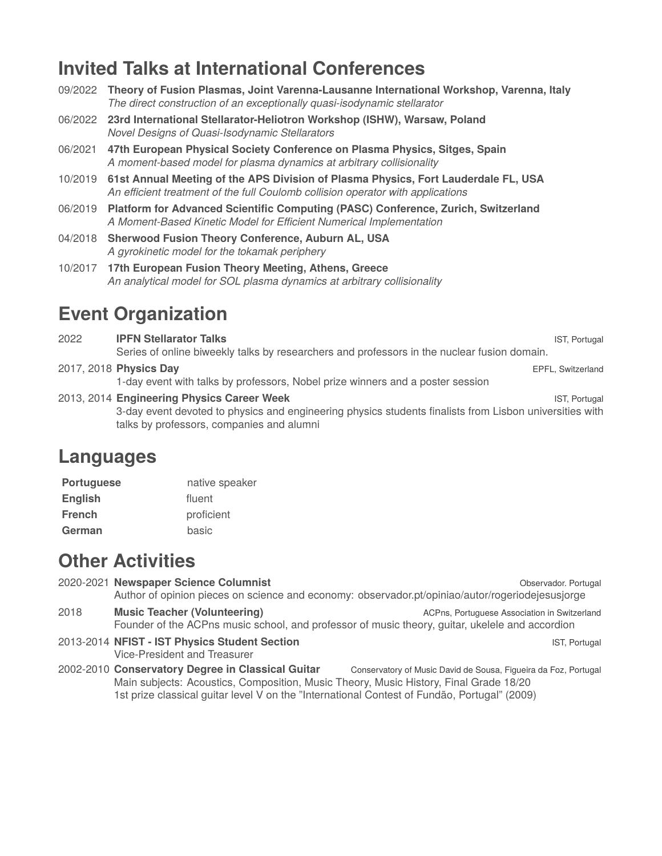### **Invited Talks at International Conferences**

| 09/2022 | Theory of Fusion Plasmas, Joint Varenna-Lausanne International Workshop, Varenna, Italy<br>The direct construction of an exceptionally quasi-isodynamic stellarator           |               |
|---------|-------------------------------------------------------------------------------------------------------------------------------------------------------------------------------|---------------|
|         | 06/2022 23rd International Stellarator-Heliotron Workshop (ISHW), Warsaw, Poland<br>Novel Designs of Quasi-Isodynamic Stellarators                                            |               |
| 06/2021 | 47th European Physical Society Conference on Plasma Physics, Sitges, Spain<br>A moment-based model for plasma dynamics at arbitrary collisionality                            |               |
|         | 10/2019 61st Annual Meeting of the APS Division of Plasma Physics, Fort Lauderdale FL, USA<br>An efficient treatment of the full Coulomb collision operator with applications |               |
| 06/2019 | Platform for Advanced Scientific Computing (PASC) Conference, Zurich, Switzerland<br>A Moment-Based Kinetic Model for Efficient Numerical Implementation                      |               |
|         | 04/2018 Sherwood Fusion Theory Conference, Auburn AL, USA<br>A gyrokinetic model for the tokamak periphery                                                                    |               |
|         | 10/2017 17th European Fusion Theory Meeting, Athens, Greece<br>An analytical model for SOL plasma dynamics at arbitrary collisionality                                        |               |
|         | <b>Event Organization</b>                                                                                                                                                     |               |
| 2022    | <b>IPFN Stellarator Talks</b>                                                                                                                                                 | IST, Portugal |

Series of online biweekly talks by researchers and professors in the nuclear fusion domain. 2017, 2018 **Physics Day** EPFL, Switzerland

1-day event with talks by professors, Nobel prize winners and a poster session

2013, 2014 **Engineering Physics Career Week IST, Portugal** IST, Portugal 3-day event devoted to physics and engineering physics students finalists from Lisbon universities with talks by professors, companies and alumni

### **Languages**

| <b>Portuguese</b> | native speaker |
|-------------------|----------------|
| <b>English</b>    | fluent         |
| <b>French</b>     | proficient     |
| German            | basic          |

## **Other Activities**

2020-2021 **Newspaper Science Columnist Contract Contract Contract Contract Contract Contract Contract Contract Contract Contract Contract Contract Contract Contract Contract Contract Contract Contract Contract Contract C** Author of opinion pieces on science and economy: [observador.pt/opiniao/autor/rogeriodejesusjorge](#page-0-0) **2018 Music Teacher (Volunteering) ACPns, Portuguese Association in Switzerland** Founder of the ACPns music school, and professor of music theory, guitar, ukelele and accordion 2013-2014 **NFIST - IST Physics Student Section** IST, Portugal IST, Portugal Vice-President and Treasurer

2002-2010 **Conservatory Degree in Classical Guitar** Conservatory of Music David de Sousa, Figueira da Foz, Portugal Main subjects: Acoustics, Composition, Music Theory, Music History, Final Grade 18/20 1st prize classical guitar level V on the "International Contest of Fundão, Portugal" (2009)